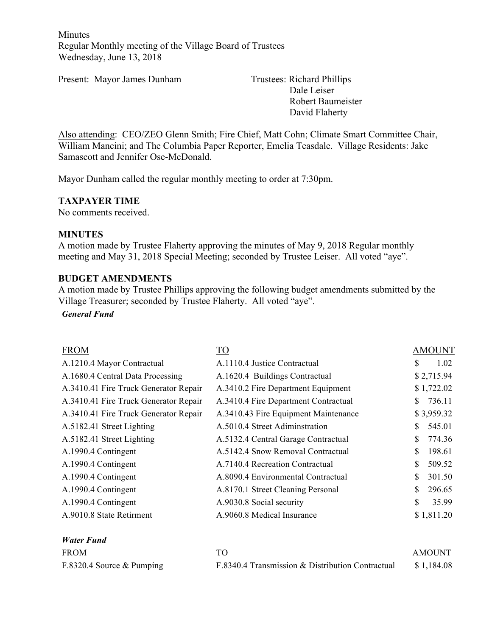Minutes Regular Monthly meeting of the Village Board of Trustees Wednesday, June 13, 2018

Present: Mayor James Dunham Trustees: Richard Phillips

Dale Leiser Robert Baumeister David Flaherty

Also attending: CEO/ZEO Glenn Smith; Fire Chief, Matt Cohn; Climate Smart Committee Chair, William Mancini; and The Columbia Paper Reporter, Emelia Teasdale. Village Residents: Jake Samascott and Jennifer Ose-McDonald.

Mayor Dunham called the regular monthly meeting to order at 7:30pm.

#### **TAXPAYER TIME**

No comments received.

#### **MINUTES**

A motion made by Trustee Flaherty approving the minutes of May 9, 2018 Regular monthly meeting and May 31, 2018 Special Meeting; seconded by Trustee Leiser. All voted "aye".

#### **BUDGET AMENDMENTS**

A motion made by Trustee Phillips approving the following budget amendments submitted by the Village Treasurer; seconded by Trustee Flaherty. All voted "aye".

*General Fund*

*Water Fund*

| <b>FROM</b>                           | TO <sub>1</sub>                      | <b>AMOUNT</b> |
|---------------------------------------|--------------------------------------|---------------|
| A.1210.4 Mayor Contractual            | A.1110.4 Justice Contractual         | 1.02<br>S     |
| A.1680.4 Central Data Processing      | A.1620.4 Buildings Contractual       | \$2,715.94    |
| A.3410.41 Fire Truck Generator Repair | A.3410.2 Fire Department Equipment   | \$1,722.02    |
| A.3410.41 Fire Truck Generator Repair | A.3410.4 Fire Department Contractual | 736.11<br>S.  |
| A.3410.41 Fire Truck Generator Repair | A.3410.43 Fire Equipment Maintenance | \$3,959.32    |
| A.5182.41 Street Lighting             | A.5010.4 Street Adiminstration       | 545.01<br>S   |
| A.5182.41 Street Lighting             | A.5132.4 Central Garage Contractual  | 774.36<br>\$  |
| A.1990.4 Contingent                   | A.5142.4 Snow Removal Contractual    | \$<br>198.61  |
| A.1990.4 Contingent                   | A.7140.4 Recreation Contractual      | S<br>509.52   |
| A.1990.4 Contingent                   | A.8090.4 Environmental Contractual   | \$<br>301.50  |
| A.1990.4 Contingent                   | A.8170.1 Street Cleaning Personal    | \$<br>296.65  |
| A.1990.4 Contingent                   | A.9030.8 Social security             | \$<br>35.99   |
| A.9010.8 State Retirment              | A.9060.8 Medical Insurance           | \$1,811.20    |

| <b>FROM</b>                 |                                                  | <b>AMOUNT</b> |
|-----------------------------|--------------------------------------------------|---------------|
| F.8320.4 Source $&$ Pumping | F.8340.4 Transmission & Distribution Contractual | \$1,184.08    |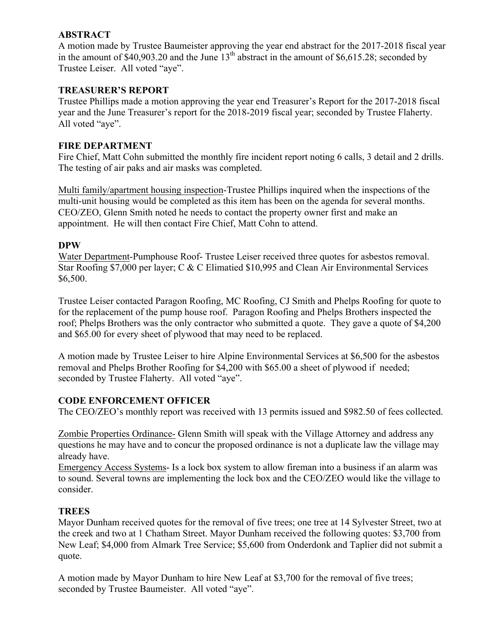### **ABSTRACT**

A motion made by Trustee Baumeister approving the year end abstract for the 2017-2018 fiscal year in the amount of \$40,903.20 and the June  $13<sup>th</sup>$  abstract in the amount of \$6,615.28; seconded by Trustee Leiser. All voted "aye".

# **TREASURER'S REPORT**

Trustee Phillips made a motion approving the year end Treasurer's Report for the 2017-2018 fiscal year and the June Treasurer's report for the 2018-2019 fiscal year; seconded by Trustee Flaherty. All voted "aye".

### **FIRE DEPARTMENT**

Fire Chief, Matt Cohn submitted the monthly fire incident report noting 6 calls, 3 detail and 2 drills. The testing of air paks and air masks was completed.

Multi family/apartment housing inspection-Trustee Phillips inquired when the inspections of the multi-unit housing would be completed as this item has been on the agenda for several months. CEO/ZEO, Glenn Smith noted he needs to contact the property owner first and make an appointment. He will then contact Fire Chief, Matt Cohn to attend.

### **DPW**

Water Department-Pumphouse Roof- Trustee Leiser received three quotes for asbestos removal. Star Roofing \$7,000 per layer; C & C Elimatied \$10,995 and Clean Air Environmental Services \$6,500.

Trustee Leiser contacted Paragon Roofing, MC Roofing, CJ Smith and Phelps Roofing for quote to for the replacement of the pump house roof. Paragon Roofing and Phelps Brothers inspected the roof; Phelps Brothers was the only contractor who submitted a quote. They gave a quote of \$4,200 and \$65.00 for every sheet of plywood that may need to be replaced.

A motion made by Trustee Leiser to hire Alpine Environmental Services at \$6,500 for the asbestos removal and Phelps Brother Roofing for \$4,200 with \$65.00 a sheet of plywood if needed; seconded by Trustee Flaherty. All voted "aye".

### **CODE ENFORCEMENT OFFICER**

The CEO/ZEO's monthly report was received with 13 permits issued and \$982.50 of fees collected.

Zombie Properties Ordinance- Glenn Smith will speak with the Village Attorney and address any questions he may have and to concur the proposed ordinance is not a duplicate law the village may already have.

Emergency Access Systems- Is a lock box system to allow fireman into a business if an alarm was to sound. Several towns are implementing the lock box and the CEO/ZEO would like the village to consider.

### **TREES**

Mayor Dunham received quotes for the removal of five trees; one tree at 14 Sylvester Street, two at the creek and two at 1 Chatham Street. Mayor Dunham received the following quotes: \$3,700 from New Leaf; \$4,000 from Almark Tree Service; \$5,600 from Onderdonk and Taplier did not submit a quote.

A motion made by Mayor Dunham to hire New Leaf at \$3,700 for the removal of five trees; seconded by Trustee Baumeister. All voted "aye".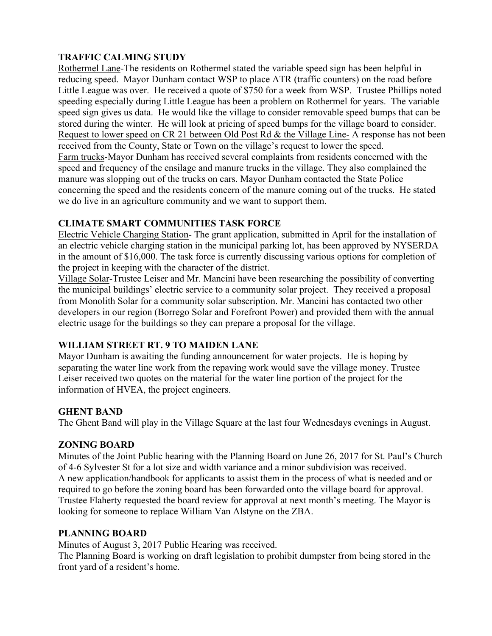# **TRAFFIC CALMING STUDY**

Rothermel Lane-The residents on Rothermel stated the variable speed sign has been helpful in reducing speed. Mayor Dunham contact WSP to place ATR (traffic counters) on the road before Little League was over. He received a quote of \$750 for a week from WSP. Trustee Phillips noted speeding especially during Little League has been a problem on Rothermel for years. The variable speed sign gives us data. He would like the village to consider removable speed bumps that can be stored during the winter. He will look at pricing of speed bumps for the village board to consider. Request to lower speed on CR 21 between Old Post Rd & the Village Line- A response has not been received from the County, State or Town on the village's request to lower the speed. Farm trucks-Mayor Dunham has received several complaints from residents concerned with the speed and frequency of the ensilage and manure trucks in the village. They also complained the manure was slopping out of the trucks on cars. Mayor Dunham contacted the State Police concerning the speed and the residents concern of the manure coming out of the trucks. He stated we do live in an agriculture community and we want to support them.

# **CLIMATE SMART COMMUNITIES TASK FORCE**

Electric Vehicle Charging Station- The grant application, submitted in April for the installation of an electric vehicle charging station in the municipal parking lot, has been approved by NYSERDA in the amount of \$16,000. The task force is currently discussing various options for completion of the project in keeping with the character of the district.

Village Solar-Trustee Leiser and Mr. Mancini have been researching the possibility of converting the municipal buildings' electric service to a community solar project. They received a proposal from Monolith Solar for a community solar subscription. Mr. Mancini has contacted two other developers in our region (Borrego Solar and Forefront Power) and provided them with the annual electric usage for the buildings so they can prepare a proposal for the village.

# **WILLIAM STREET RT. 9 TO MAIDEN LANE**

Mayor Dunham is awaiting the funding announcement for water projects. He is hoping by separating the water line work from the repaving work would save the village money. Trustee Leiser received two quotes on the material for the water line portion of the project for the information of HVEA, the project engineers.

### **GHENT BAND**

The Ghent Band will play in the Village Square at the last four Wednesdays evenings in August.

### **ZONING BOARD**

Minutes of the Joint Public hearing with the Planning Board on June 26, 2017 for St. Paul's Church of 4-6 Sylvester St for a lot size and width variance and a minor subdivision was received. A new application/handbook for applicants to assist them in the process of what is needed and or required to go before the zoning board has been forwarded onto the village board for approval. Trustee Flaherty requested the board review for approval at next month's meeting. The Mayor is looking for someone to replace William Van Alstyne on the ZBA.

### **PLANNING BOARD**

Minutes of August 3, 2017 Public Hearing was received.

The Planning Board is working on draft legislation to prohibit dumpster from being stored in the front yard of a resident's home.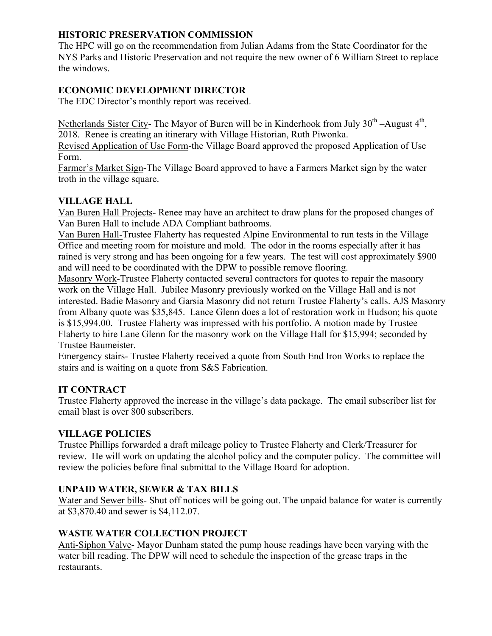# **HISTORIC PRESERVATION COMMISSION**

The HPC will go on the recommendation from Julian Adams from the State Coordinator for the NYS Parks and Historic Preservation and not require the new owner of 6 William Street to replace the windows.

# **ECONOMIC DEVELOPMENT DIRECTOR**

The EDC Director's monthly report was received.

Netherlands Sister City- The Mayor of Buren will be in Kinderhook from July  $30<sup>th</sup>$ -August  $4<sup>th</sup>$ , 2018. Renee is creating an itinerary with Village Historian, Ruth Piwonka.

Revised Application of Use Form-the Village Board approved the proposed Application of Use Form.

Farmer's Market Sign-The Village Board approved to have a Farmers Market sign by the water troth in the village square.

# **VILLAGE HALL**

Van Buren Hall Projects- Renee may have an architect to draw plans for the proposed changes of Van Buren Hall to include ADA Compliant bathrooms.

Van Buren Hall-Trustee Flaherty has requested Alpine Environmental to run tests in the Village Office and meeting room for moisture and mold. The odor in the rooms especially after it has rained is very strong and has been ongoing for a few years. The test will cost approximately \$900 and will need to be coordinated with the DPW to possible remove flooring.

Masonry Work-Trustee Flaherty contacted several contractors for quotes to repair the masonry work on the Village Hall. Jubilee Masonry previously worked on the Village Hall and is not interested. Badie Masonry and Garsia Masonry did not return Trustee Flaherty's calls. AJS Masonry from Albany quote was \$35,845. Lance Glenn does a lot of restoration work in Hudson; his quote is \$15,994.00. Trustee Flaherty was impressed with his portfolio. A motion made by Trustee Flaherty to hire Lane Glenn for the masonry work on the Village Hall for \$15,994; seconded by Trustee Baumeister.

Emergency stairs- Trustee Flaherty received a quote from South End Iron Works to replace the stairs and is waiting on a quote from S&S Fabrication.

# **IT CONTRACT**

Trustee Flaherty approved the increase in the village's data package. The email subscriber list for email blast is over 800 subscribers.

# **VILLAGE POLICIES**

Trustee Phillips forwarded a draft mileage policy to Trustee Flaherty and Clerk/Treasurer for review. He will work on updating the alcohol policy and the computer policy. The committee will review the policies before final submittal to the Village Board for adoption.

# **UNPAID WATER, SEWER & TAX BILLS**

Water and Sewer bills- Shut off notices will be going out. The unpaid balance for water is currently at \$3,870.40 and sewer is \$4,112.07.

# **WASTE WATER COLLECTION PROJECT**

Anti-Siphon Valve- Mayor Dunham stated the pump house readings have been varying with the water bill reading. The DPW will need to schedule the inspection of the grease traps in the restaurants.